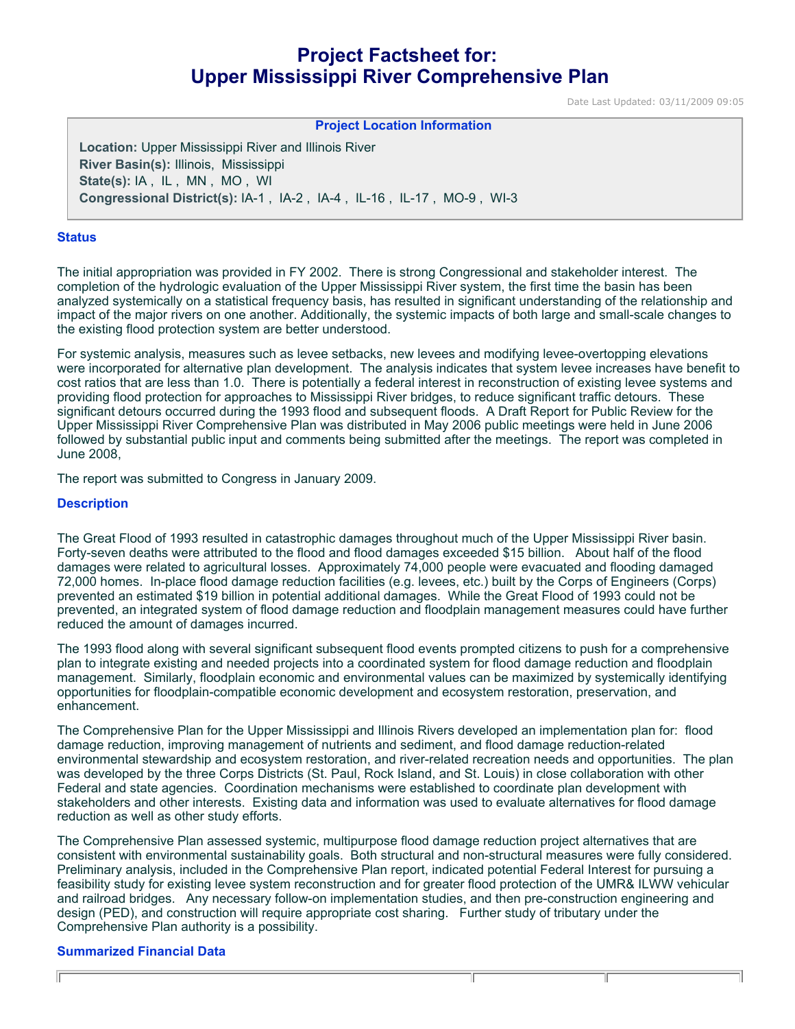# **Project Factsheet for: Upper Mississippi River Comprehensive Plan**

Date Last Updated: 03/11/2009 09:05

**Project Location Information** 

**Location:** Upper Mississippi River and Illinois River **River Basin(s):** Illinois, Mississippi **State(s):** IA , IL , MN , MO , WI **Congressional District(s):** IA-1 , IA-2 , IA-4 , IL-16 , IL-17 , MO-9 , WI-3

#### **Status**

The initial appropriation was provided in FY 2002. There is strong Congressional and stakeholder interest. The completion of the hydrologic evaluation of the Upper Mississippi River system, the first time the basin has been analyzed systemically on a statistical frequency basis, has resulted in significant understanding of the relationship and impact of the major rivers on one another. Additionally, the systemic impacts of both large and small-scale changes to the existing flood protection system are better understood.

For systemic analysis, measures such as levee setbacks, new levees and modifying levee-overtopping elevations were incorporated for alternative plan development. The analysis indicates that system levee increases have benefit to cost ratios that are less than 1.0. There is potentially a federal interest in reconstruction of existing levee systems and providing flood protection for approaches to Mississippi River bridges, to reduce significant traffic detours. These significant detours occurred during the 1993 flood and subsequent floods. A Draft Report for Public Review for the Upper Mississippi River Comprehensive Plan was distributed in May 2006 public meetings were held in June 2006 followed by substantial public input and comments being submitted after the meetings. The report was completed in June 2008,

The report was submitted to Congress in January 2009.

#### **Description**

The Great Flood of 1993 resulted in catastrophic damages throughout much of the Upper Mississippi River basin. Forty-seven deaths were attributed to the flood and flood damages exceeded \$15 billion. About half of the flood damages were related to agricultural losses. Approximately 74,000 people were evacuated and flooding damaged 72,000 homes. In-place flood damage reduction facilities (e.g. levees, etc.) built by the Corps of Engineers (Corps) prevented an estimated \$19 billion in potential additional damages. While the Great Flood of 1993 could not be prevented, an integrated system of flood damage reduction and floodplain management measures could have further reduced the amount of damages incurred.

The 1993 flood along with several significant subsequent flood events prompted citizens to push for a comprehensive plan to integrate existing and needed projects into a coordinated system for flood damage reduction and floodplain management. Similarly, floodplain economic and environmental values can be maximized by systemically identifying opportunities for floodplain-compatible economic development and ecosystem restoration, preservation, and enhancement.

The Comprehensive Plan for the Upper Mississippi and Illinois Rivers developed an implementation plan for: flood damage reduction, improving management of nutrients and sediment, and flood damage reduction-related environmental stewardship and ecosystem restoration, and river-related recreation needs and opportunities. The plan was developed by the three Corps Districts (St. Paul, Rock Island, and St. Louis) in close collaboration with other Federal and state agencies. Coordination mechanisms were established to coordinate plan development with stakeholders and other interests. Existing data and information was used to evaluate alternatives for flood damage reduction as well as other study efforts.

The Comprehensive Plan assessed systemic, multipurpose flood damage reduction project alternatives that are consistent with environmental sustainability goals. Both structural and non-structural measures were fully considered. Preliminary analysis, included in the Comprehensive Plan report, indicated potential Federal Interest for pursuing a feasibility study for existing levee system reconstruction and for greater flood protection of the UMR& ILWW vehicular and railroad bridges. Any necessary follow-on implementation studies, and then pre-construction engineering and design (PED), and construction will require appropriate cost sharing. Further study of tributary under the Comprehensive Plan authority is a possibility.

Τ

Τ

#### **Summarized Financial Data**